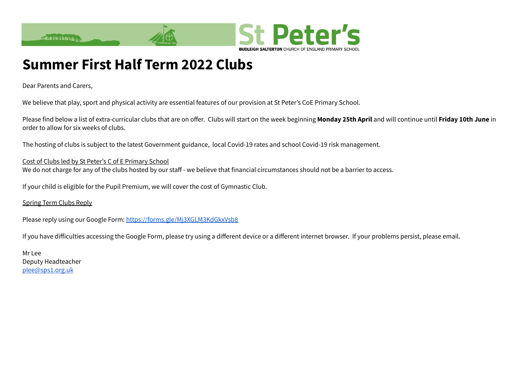

## **Summer First Half Term 2022 Clubs**

Dear Parents and Carers,

We believe that play, sport and physical activity are essential features of our provision at St Peter's CoE Primary School.

Please find below a list of extra-curricular clubs that are on offer. Clubs will start on the week beginning **Monday 25th April** and will continue until **Friday 10th June** in order to allow for six weeks of clubs.

The hosting of clubs is subject to the latest Government guidance, local Covid-19 rates and school Covid-19 risk management.

Cost of Clubs led by St Peter's C of E Primary School We do not charge for any of the clubs hosted by our staff - we believe that financial circumstances should not be a barrier to access.

If your child is eligible for the Pupil Premium, we will cover the cost of Gymnastic Club.

Spring Term Clubs Reply

Please reply using our Google Form: <https://forms.gle/Mj3XGLM3KdGkxVsb8>

If you have difficulties accessing the Google Form, please try using a different device or a different internet browser. If your problems persist, please email.

Mr Lee Deputy Headteacher [plee@sps1.org.uk](mailto:plee@sps1.org.uk)